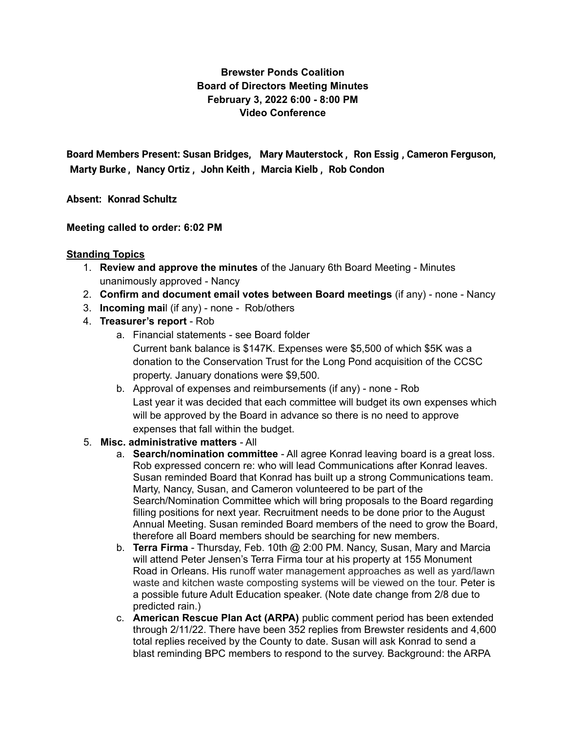# **Brewster Ponds Coalition Board of Directors Meeting Minutes February 3, 2022 6:00 - 8:00 PM Video Conference**

**Board Members Present: Susan Bridges, Mary [Mauterstock](mailto:mary.mauterstock@brewsterponds.org) , Ron [Essig](mailto:ron.essig@brewsterponds.org) , Cameron Ferguson, [Marty](mailto:marty.burke@brewsterponds.org) Burke , [Nancy](mailto:nancyortiz@comcast.net) Ortiz , John [Keith](mailto:john.keith@brewsterponds.org) , [Marcia](mailto:marcia.kielb@brewsterponds.org) Kielb , Rob [Condon](mailto:rob.condon@brewsterponds.org)**

**Absent: Konrad [Schultz](mailto:konrad.schultz@brewsterponds.org)**

**Meeting called to order: 6:02 PM**

### **Standing Topics**

- 1. **Review and approve the minutes** of the January 6th Board Meeting Minutes unanimously approved - Nancy
- 2. **Confirm and document email votes between Board meetings** (if any) none Nancy
- 3. **Incoming mai**l (if any) none Rob/others
- 4. **Treasurer's report** Rob
	- a. Financial statements see Board folder Current bank balance is \$147K. Expenses were \$5,500 of which \$5K was a donation to the Conservation Trust for the Long Pond acquisition of the CCSC property. January donations were \$9,500.
	- b. Approval of expenses and reimbursements (if any) none Rob Last year it was decided that each committee will budget its own expenses which will be approved by the Board in advance so there is no need to approve expenses that fall within the budget.

## 5. **Misc. administrative matters** - All

- a. **Search/nomination committee** All agree Konrad leaving board is a great loss. Rob expressed concern re: who will lead Communications after Konrad leaves. Susan reminded Board that Konrad has built up a strong Communications team. Marty, Nancy, Susan, and Cameron volunteered to be part of the Search/Nomination Committee which will bring proposals to the Board regarding filling positions for next year. Recruitment needs to be done prior to the August Annual Meeting. Susan reminded Board members of the need to grow the Board, therefore all Board members should be searching for new members.
- b. **Terra Firma** Thursday, Feb. 10th @ 2:00 PM. Nancy, Susan, Mary and Marcia will attend Peter Jensen's Terra Firma tour at his property at 155 Monument Road in Orleans. His runoff water management approaches as well as yard/lawn waste and kitchen waste composting systems will be viewed on the tour. Peter is a possible future Adult Education speaker. (Note date change from 2/8 due to predicted rain.)
- c. **American Rescue Plan Act (ARPA)** public comment period has been extended through 2/11/22. There have been 352 replies from Brewster residents and 4,600 total replies received by the County to date. Susan will ask Konrad to send a blast reminding BPC members to respond to the survey. Background: the ARPA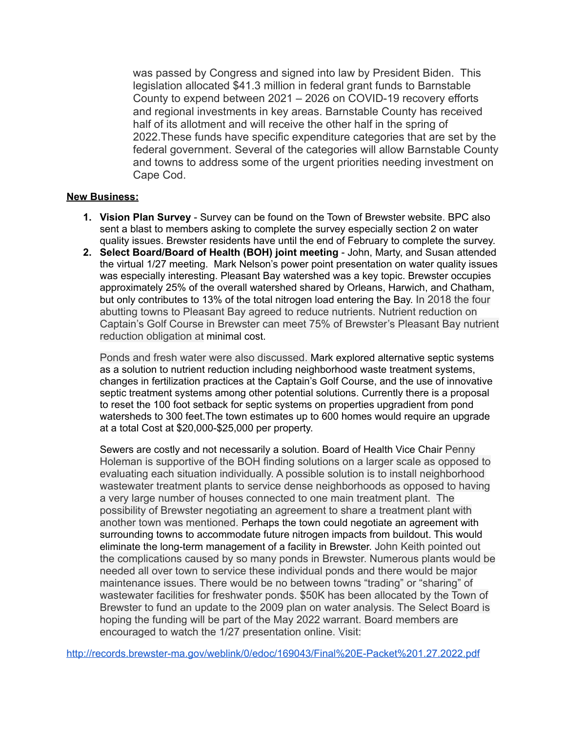was passed by Congress and signed into law by President Biden. This legislation allocated \$41.3 million in federal grant funds to Barnstable County to expend between 2021 – 2026 on COVID-19 recovery efforts and regional investments in key areas. Barnstable County has received half of its allotment and will receive the other half in the spring of 2022.These funds have specific expenditure categories that are set by the federal government. Several of the categories will allow Barnstable County and towns to address some of the urgent priorities needing investment on Cape Cod.

#### **New Business:**

- **1. Vision Plan Survey** Survey can be found on the Town of Brewster website. BPC also sent a blast to members asking to complete the survey especially section 2 on water quality issues. Brewster residents have until the end of February to complete the survey.
- **2. Select Board/Board of Health (BOH) joint meeting** John, Marty, and Susan attended the virtual 1/27 meeting. Mark Nelson's power point presentation on water quality issues was especially interesting. Pleasant Bay watershed was a key topic. Brewster occupies approximately 25% of the overall watershed shared by Orleans, Harwich, and Chatham, but only contributes to 13% of the total nitrogen load entering the Bay. In 2018 the four abutting towns to Pleasant Bay agreed to reduce nutrients. Nutrient reduction on Captain's Golf Course in Brewster can meet 75% of Brewster's Pleasant Bay nutrient reduction obligation at minimal cost.

Ponds and fresh water were also discussed. Mark explored alternative septic systems as a solution to nutrient reduction including neighborhood waste treatment systems, changes in fertilization practices at the Captain's Golf Course, and the use of innovative septic treatment systems among other potential solutions. Currently there is a proposal to reset the 100 foot setback for septic systems on properties upgradient from pond watersheds to 300 feet.The town estimates up to 600 homes would require an upgrade at a total Cost at \$20,000-\$25,000 per property.

Sewers are costly and not necessarily a solution. Board of Health Vice Chair Penny Holeman is supportive of the BOH finding solutions on a larger scale as opposed to evaluating each situation individually. A possible solution is to install neighborhood wastewater treatment plants to service dense neighborhoods as opposed to having a very large number of houses connected to one main treatment plant. The possibility of Brewster negotiating an agreement to share a treatment plant with another town was mentioned. Perhaps the town could negotiate an agreement with surrounding towns to accommodate future nitrogen impacts from buildout. This would eliminate the long-term management of a facility in Brewster. John Keith pointed out the complications caused by so many ponds in Brewster. Numerous plants would be needed all over town to service these individual ponds and there would be major maintenance issues. There would be no between towns "trading" or "sharing" of wastewater facilities for freshwater ponds. \$50K has been allocated by the Town of Brewster to fund an update to the 2009 plan on water analysis. The Select Board is hoping the funding will be part of the May 2022 warrant. Board members are encouraged to watch the 1/27 presentation online. Visit:

<http://records.brewster-ma.gov/weblink/0/edoc/169043/Final%20E-Packet%201.27.2022.pdf>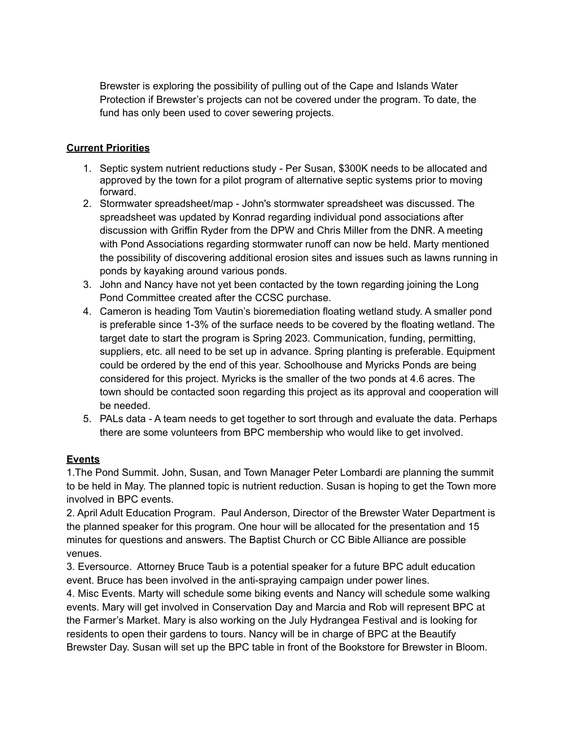Brewster is exploring the possibility of pulling out of the Cape and Islands Water Protection if Brewster's projects can not be covered under the program. To date, the fund has only been used to cover sewering projects.

# **Current Priorities**

- 1. Septic system nutrient reductions study Per Susan, \$300K needs to be allocated and approved by the town for a pilot program of alternative septic systems prior to moving forward.
- 2. Stormwater spreadsheet/map John's stormwater spreadsheet was discussed. The spreadsheet was updated by Konrad regarding individual pond associations after discussion with Griffin Ryder from the DPW and Chris Miller from the DNR. A meeting with Pond Associations regarding stormwater runoff can now be held. Marty mentioned the possibility of discovering additional erosion sites and issues such as lawns running in ponds by kayaking around various ponds.
- 3. John and Nancy have not yet been contacted by the town regarding joining the Long Pond Committee created after the CCSC purchase.
- 4. Cameron is heading Tom Vautin's bioremediation floating wetland study. A smaller pond is preferable since 1-3% of the surface needs to be covered by the floating wetland. The target date to start the program is Spring 2023. Communication, funding, permitting, suppliers, etc. all need to be set up in advance. Spring planting is preferable. Equipment could be ordered by the end of this year. Schoolhouse and Myricks Ponds are being considered for this project. Myricks is the smaller of the two ponds at 4.6 acres. The town should be contacted soon regarding this project as its approval and cooperation will be needed.
- 5. PALs data A team needs to get together to sort through and evaluate the data. Perhaps there are some volunteers from BPC membership who would like to get involved.

## **Events**

1.The Pond Summit. John, Susan, and Town Manager Peter Lombardi are planning the summit to be held in May. The planned topic is nutrient reduction. Susan is hoping to get the Town more involved in BPC events.

2. April Adult Education Program. Paul Anderson, Director of the Brewster Water Department is the planned speaker for this program. One hour will be allocated for the presentation and 15 minutes for questions and answers. The Baptist Church or CC Bible Alliance are possible venues.

3. Eversource. Attorney Bruce Taub is a potential speaker for a future BPC adult education event. Bruce has been involved in the anti-spraying campaign under power lines.

4. Misc Events. Marty will schedule some biking events and Nancy will schedule some walking events. Mary will get involved in Conservation Day and Marcia and Rob will represent BPC at the Farmer's Market. Mary is also working on the July Hydrangea Festival and is looking for residents to open their gardens to tours. Nancy will be in charge of BPC at the Beautify Brewster Day. Susan will set up the BPC table in front of the Bookstore for Brewster in Bloom.